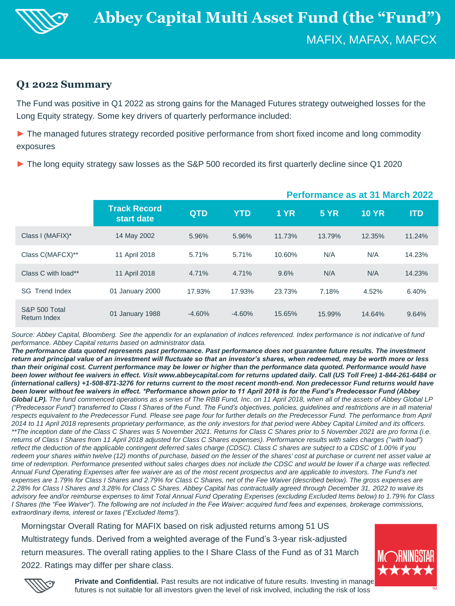

# **Q1 2022 Summary**

The Fund was positive in Q1 2022 as strong gains for the Managed Futures strategy outweighed losses for the Long Equity strategy. Some key drivers of quarterly performance included:

► The managed futures strategy recorded positive performance from short fixed income and long commodity exposures

► The long equity strategy saw losses as the S&P 500 recorded its first quarterly decline since Q1 2020

|                                      |                                   | <b>Performance as at 31 March 2022</b> |            |             |             |              |            |
|--------------------------------------|-----------------------------------|----------------------------------------|------------|-------------|-------------|--------------|------------|
|                                      | <b>Track Record</b><br>start date | <b>QTD</b>                             | <b>YTD</b> | <b>1 YR</b> | <b>5 YR</b> | <b>10 YR</b> | <b>ITD</b> |
| Class I (MAFIX)*                     | 14 May 2002                       | 5.96%                                  | 5.96%      | 11.73%      | 13.79%      | 12.35%       | 11.24%     |
| Class C(MAFCX)**                     | 11 April 2018                     | 5.71%                                  | 5.71%      | 10.60%      | N/A         | N/A          | 14.23%     |
| Class C with load**                  | 11 April 2018                     | 4.71%                                  | 4.71%      | 9.6%        | N/A         | N/A          | 14.23%     |
| <b>SG</b> Trend Index                | 01 January 2000                   | 17.93%                                 | 17.93%     | 23.73%      | 7.18%       | 4.52%        | 6.40%      |
| S&P 500 Total<br><b>Return Index</b> | 01 January 1988                   | $-4.60%$                               | $-4.60%$   | 15.65%      | 15.99%      | 14.64%       | 9.64%      |

*Source: Abbey Capital, Bloomberg. See the appendix for an explanation of indices referenced. Index performance is not indicative of fund performance. Abbey Capital returns based on administrator data.* 

*The performance data quoted represents past performance. Past performance does not guarantee future results. The investment return and principal value of an investment will fluctuate so that an investor's shares, when redeemed, may be worth more or less than their original cost. Current performance may be lower or higher than the performance data quoted. Performance would have been lower without fee waivers in effect. Visit www.abbeycapital.com for returns updated daily. Call (US Toll Free) 1-844-261-6484 or (international callers) +1-508-871-3276 for returns current to the most recent month-end. Non predecessor Fund returns would have been lower without fee waivers in effect. \*Performance shown prior to 11 April 2018 is for the Fund's Predecessor Fund (Abbey* Global LP). The fund commenced operations as a series of The RBB Fund, Inc. on 11 April 2018, when all of the assets of Abbey Global LP *("Predecessor Fund") transferred to Class I Shares of the Fund. The Fund's objectives, policies, guidelines and restrictions are in all material*  respects equivalent to the Predecessor Fund. Please see page four for further details on the Predecessor Fund. The performance from April *2014 to 11 April 2018 represents proprietary performance, as the only investors for that period were Abbey Capital Limited and its officers. \*\*The inception date of the Class C Shares was 5 November 2021. Returns for Class C Shares prior to 5 November 2021 are pro forma (i.e. returns of Class I Shares from 11 April 2018 adjusted for Class C Shares expenses). Performance results with sales charges ("with load") reflect the deduction of the applicable contingent deferred sales charge (CDSC). Class C shares are subject to a CDSC of 1.00% if you redeem your shares within twelve (12) months of purchase, based on the lesser of the shares' cost at purchase or current net asset value at time of redemption. Performance presented without sales charges does not include the CDSC and would be lower if a charge was reflected. Annual Fund Operating Expenses after fee waiver are as of the most recent prospectus and are applicable to investors. The Fund's net*  expenses are 1.79% for Class I Shares and 2.79% for Class C Shares, net of the Fee Waiver (described below). The gross expenses are *2.28% for Class I Shares and 3.28% for Class C Shares. Abbey Capital has contractually agreed through December 31, 2022 to waive its advisory fee and/or reimburse expenses to limit Total Annual Fund Operating Expenses (excluding Excluded Items below) to 1.79% for Class I Shares (the "Fee Waiver"). The following are not included in the Fee Waiver: acquired fund fees and expenses, brokerage commissions, extraordinary items, interest or taxes ("Excluded Items").* 

Morningstar Overall Rating for MAFIX based on risk adjusted returns among 51 US Multistrategy funds. Derived from a weighted average of the Fund's 3-year risk-adjusted return measures. The overall rating applies to the I Share Class of the Fund as of 31 March 2022. Ratings may differ per share class.





**Private and Confidential.** Past results are not indicative of future results. Investing in manage futures is not suitable for all investors given the level of risk involved, including the risk of loss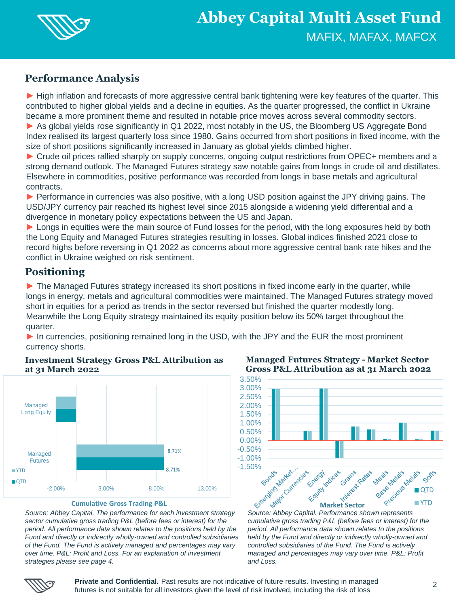

# **Performance Analysis**

► High inflation and forecasts of more aggressive central bank tightening were key features of the quarter. This contributed to higher global yields and a decline in equities. As the quarter progressed, the conflict in Ukraine became a more prominent theme and resulted in notable price moves across several commodity sectors.

Summary

► As global yields rose significantly in Q1 2022, most notably in the US, the Bloomberg US Aggregate Bond Index realised its largest quarterly loss since 1980. Gains occurred from short positions in fixed income, with the size of short positions significantly increased in January as global yields climbed higher.

► Crude oil prices rallied sharply on supply concerns, ongoing output restrictions from OPEC+ members and a strong demand outlook. The Managed Futures strategy saw notable gains from longs in crude oil and distillates. Elsewhere in commodities, positive performance was recorded from longs in base metals and agricultural contracts.

► Performance in currencies was also positive, with a long USD position against the JPY driving gains. The USD/JPY currency pair reached its highest level since 2015 alongside a widening yield differential and a divergence in monetary policy expectations between the US and Japan.

► Longs in equities were the main source of Fund losses for the period, with the long exposures held by both the Long Equity and Managed Futures strategies resulting in losses. Global indices finished 2021 close to record highs before reversing in Q1 2022 as concerns about more aggressive central bank rate hikes and the conflict in Ukraine weighed on risk sentiment.

# **Positioning**

► The Managed Futures strategy increased its short positions in fixed income early in the quarter, while longs in energy, metals and agricultural commodities were maintained. The Managed Futures strategy moved short in equities for a period as trends in the sector reversed but finished the quarter modestly long. Meanwhile the Long Equity strategy maintained its equity position below its 50% target throughout the quarter.

► In currencies, positioning remained long in the USD, with the JPY and the EUR the most prominent currency shorts.



## **Investment Strategy Gross P&L Attribution as at 31 March 2022**

*Source: Abbey Capital. The performance for each investment strategy sector cumulative gross trading P&L (before fees or interest) for the period. All performance data shown relates to the positions held by the Fund and directly or indirectly wholly-owned and controlled subsidiaries of the Fund. The Fund is actively managed and percentages may vary over time. P&L: Profit and Loss. For an explanation of investment strategies please see page 4.* 

**Managed Futures Strategy - Market Sector Gross P&L Attribution as at 31 March 2022**



*cumulative gross trading P&L (before fees or interest) for the period. All performance data shown relates to the positions held by the Fund and directly or indirectly wholly-owned and controlled subsidiaries of the Fund. The Fund is actively managed and percentages may vary over time. P&L: Profit and Loss.* 



**Private and Confidential.** Past results are not indicative of future results. Investing in managed futures is not suitable for all investors given the level of risk involved, including the risk of loss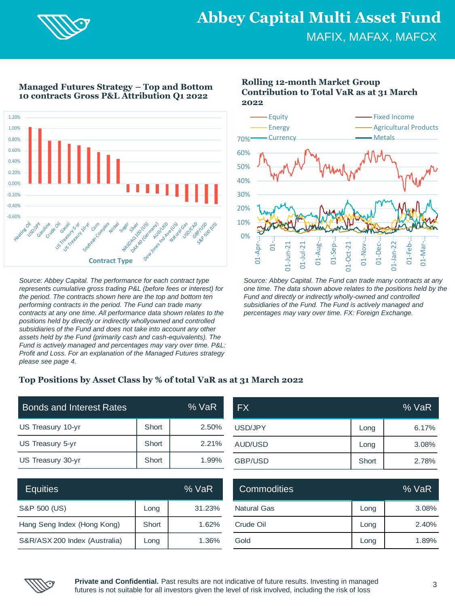

**Managed Futures Strategy – Top and Bottom 10 contracts Gross P&L Attribution Q1 2022**



*Source: Abbey Capital. The performance for each contract type represents cumulative gross trading P&L (before fees or interest) for the period. The contracts shown here are the top and bottom ten performing contracts in the period. The Fund can trade many contracts at any one time. All performance data shown relates to the positions held by directly or indirectly whollyowned and controlled subsidiaries of the Fund and does not take into account any other assets held by the Fund (primarily cash and cash-equivalents). The Fund is actively managed and percentages may vary over time. P&L: Profit and Loss. For an explanation of the Managed Futures strategy please see page 4.*

## **Rolling 12-month Market Group Contribution to Total VaR as at 31 March 2022**



*Source: Abbey Capital. The Fund can trade many contracts at any one time. The data shown above relates to the positions held by the Fund and directly or indirectly wholly-owned and controlled subsidiaries of the Fund. The Fund is actively managed and percentages may vary over time. FX: Foreign Exchange.* 

## **Top Positions by Asset Class by % of total VaR as at 31 March 2022**

| <b>Bonds and Interest Rates</b> | % VaR |       |  |
|---------------------------------|-------|-------|--|
| US Treasury 10-yr               | Short | 2.50% |  |
| US Treasury 5-yr                | Short | 2.21% |  |
| US Treasury 30-yr               | Short | 1.99% |  |

| <b>FX</b>      |       | % VaR |
|----------------|-------|-------|
| USD/JPY        | Long  | 6.17% |
| AUD/USD        | Long  | 3.08% |
| <b>GBP/USD</b> | Short | 2.78% |

| <b>Equities</b>               |       | % VaR  | <b>Commodities</b> | % VaR |       |  |
|-------------------------------|-------|--------|--------------------|-------|-------|--|
| S&P 500 (US)                  | Long  | 31.23% | <b>Natural Gas</b> | Long  | 3.08% |  |
| Hang Seng Index (Hong Kong)   | Short | 1.62%  | Crude Oil          | Long  | 2.40% |  |
| S&R/ASX 200 Index (Australia) | Long  | 1.36%  | Gold               | Long  | 1.89% |  |

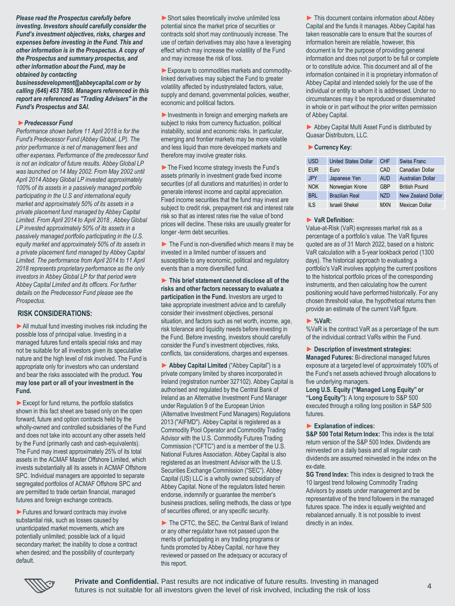*Please read the Prospectus carefully before investing. Investors should carefully consider the Fund's investment objectives, risks, charges and expenses before investing in the Fund. This and other information is in the Prospectus. A copy of the Prospectus and summary prospectus, and other information about the Fund, may be obtained by contacting* 

*businessdevelopment@abbeycapital.com or by calling (646) 453 7850. Managers referenced in this report are referenced as "Trading Advisers" in the Fund's Prospectus and SAI.*

#### **►***Predecessor Fund*

*Performance shown before 11 April 2018 is for the Fund's Predecessor Fund (Abbey Global, LP). The prior performance is net of management fees and other expenses. Performance of the predecessor fund is not an indicator of future results. Abbey Global LP was launched on 14 May 2002. From May 2002 until April 2014 Abbey Global LP invested approximately 100% of its assets in a passively managed portfolio participating in the U.S and international equity market and approximately 50% of its assets in a private placement fund managed by Abbey Capital Limited. From April 2014 to April 2018 , Abbey Global LP invested approximately 50% of its assets in a passively managed portfolio participating in the U.S. equity market and approximately 50% of its assets in a private placement fund managed by Abbey Capital Limited. The performance from April 2014 to 11 April 2018 represents proprietary performance as the only investors in Abbey Global LP for that period were Abbey Capital Limited and its officers. For further details on the Predecessor Fund please see the Prospectus*.

### **RISK CONSIDERATIONS:**

▶ All mutual fund investing involves risk including the possible loss of principal value. Investing in a managed futures fund entails special risks and may not be suitable for all investors given its speculative nature and the high level of risk involved. The Fund is appropriate only for investors who can understand and bear the risks associated with the product. **You may lose part or all of your investment in the Fund.** 

► Except for fund returns, the portfolio statistics shown in this fact sheet are based only on the open forward, future and option contracts held by the wholly-owned and controlled subsidiaries of the Fund and does not take into account any other assets held by the Fund (primarily cash and cash-equivalents). The Fund may invest approximately 25% of its total assets in the ACMAF Master Offshore Limited, which invests substantially all its assets in ACMAF Offshore SPC. Individual managers are appointed to separate segregated portfolios of ACMAF Offshore SPC and are permitted to trade certain financial, managed futures and foreign exchange contracts.

► Futures and forward contracts may involve substantial risk, such as losses caused by unanticipated market movements, which are potentially unlimited; possible lack of a liquid secondary market; the inability to close a contract when desired; and the possibility of counterparty default.

▶ Short sales theoretically involve unlimited loss potential since the market price of securities or contracts sold short may continuously increase. The use of certain derivatives may also have a leveraging effect which may increase the volatility of the Fund and may increase the risk of loss.

► Exposure to commodities markets and commoditylinked derivatives may subject the Fund to greater volatility affected by industryrelated factors, value, supply and demand, governmental policies, weather, economic and political factors.

► Investments in foreign and emerging markets are subject to risks from currency fluctuation, political instability, social and economic risks. In particular, emerging and frontier markets may be more volatile and less liquid than more developed markets and therefore may involve greater risks.

►The Fixed Income strategy invests the Fund's assets primarily in investment grade fixed income securities (of all durations and maturities) in order to generate interest income and capital appreciation. Fixed income securities that the fund may invest are subject to credit risk, prepayment risk and interest rate risk so that as interest rates rise the value of bond prices will decline. These risks are usually greater for longer -term debt securities.

 $\blacktriangleright$  The Fund is non-diversified which means it may be invested in a limited number of issuers and susceptible to any economic, political and regulatory events than a more diversified fund.

► **This brief statement cannot disclose all of the risks and other factors necessary to evaluate a participation in the Fund.** Investors are urged to take appropriate investment advice and to carefully consider their investment objectives, personal situation, and factors such as net worth, income, age, risk tolerance and liquidity needs before investing in the Fund. Before investing, investors should carefully consider the Fund's investment objectives, risks, conflicts, tax considerations, charges and expenses.

► **Abbey Capital Limited** ("Abbey Capital") is a private company limited by shares incorporated in Ireland (registration number 327102). Abbey Capital is authorised and regulated by the Central Bank of Ireland as an Alternative Investment Fund Manager under Regulation 9 of the European Union (Alternative Investment Fund Managers) Regulations 2013 ("AIFMD"). Abbey Capital is registered as a Commodity Pool Operator and Commodity Trading Advisor with the U.S. Commodity Futures Trading Commission ("CFTC") and is a member of the U.S. National Futures Association. Abbey Capital is also registered as an Investment Advisor with the U.S. Securities Exchange Commission ("SEC"). Abbey Capital (US) LLC is a wholly owned subsidiary of Abbey Capital. None of the regulators listed herein endorse, indemnify or guarantee the member's business practices, selling methods, the class or type of securities offered, or any specific security.

► The CFTC, the SEC, the Central Bank of Ireland or any other regulator have not passed upon the merits of participating in any trading programs or funds promoted by Abbey Capital, nor have they reviewed or passed on the adequacy or accuracy of this report.

► This document contains information about Abbey Capital and the funds it manages. Abbey Capital has taken reasonable care to ensure that the sources of information herein are reliable, however, this document is for the purpose of providing general information and does not purport to be full or complete or to constitute advice. This document and all of the information contained in it is proprietary information of Abbey Capital and intended solely for the use of the individual or entity to whom it is addressed. Under no circumstances may it be reproduced or disseminated in whole or in part without the prior written permission of Abbey Capital.

► Abbey Capital Multi Asset Fund is distributed by Quasar Distributors, LLC.

#### ►**Currency Key:**

| <b>USD</b> | <b>United States Dollar</b> | CHF              | Swiss Franc              |
|------------|-----------------------------|------------------|--------------------------|
| <b>EUR</b> | Euro                        | CAD              | Canadian Dollar          |
| .JPY       | Japanese Yen                | <b>AUD</b>       | <b>Australian Dollar</b> |
| <b>NOK</b> | Norwegian Krone             | GRP              | <b>British Pound</b>     |
| <b>BRL</b> | <b>Brazilian Real</b>       | N <sub>7</sub> D | New Zealand Dollar       |
| II S       | Israeli Shekel              | <b>MXN</b>       | Mexican Dollar           |

#### ► **VaR Definition:**

Value-at-Risk (VaR) expresses market risk as a percentage of a portfolio's value. The VaR figures quoted are as of 31 March 2022, based on a historic VaR calculation with a 5-year lookback period (1300 days). The historical approach to evaluating a portfolio's VaR involves applying the current positions to the historical portfolio prices of the corresponding instruments, and then calculating how the current positioning would have performed historically. For any chosen threshold value, the hypothetical returns then provide an estimate of the current VaR figure.

#### ► **%VaR:**

%VaR is the contract VaR as a percentage of the sum of the individual contract VaRs within the Fund.

#### ► **Description of investment strategies:**

**Managed Futures:** Bi-directional managed futures exposure at a targeted level of approximately 100% of the Fund's net assets achieved through allocations to five underlying managers.

**Long U.S. Equity ("Managed Long Equity" or "Long Equity"):** A long exposure to S&P 500 executed through a rolling long position in S&P 500 futures.

### ► **Explanation of indices:**

**S&P 500 Total Return Index: This index is the total** return version of the S&P 500 Index. Dividends are reinvested on a daily basis and all regular cash dividends are assumed reinvested in the index on the ex-date.

**SG Trend Index:** This index is designed to track the 10 largest trend following Commodity Trading Advisors by assets under management and be representative of the trend followers in the managed futures space. The index is equally weighted and rebalanced annually. It is not possible to invest directly in an index.